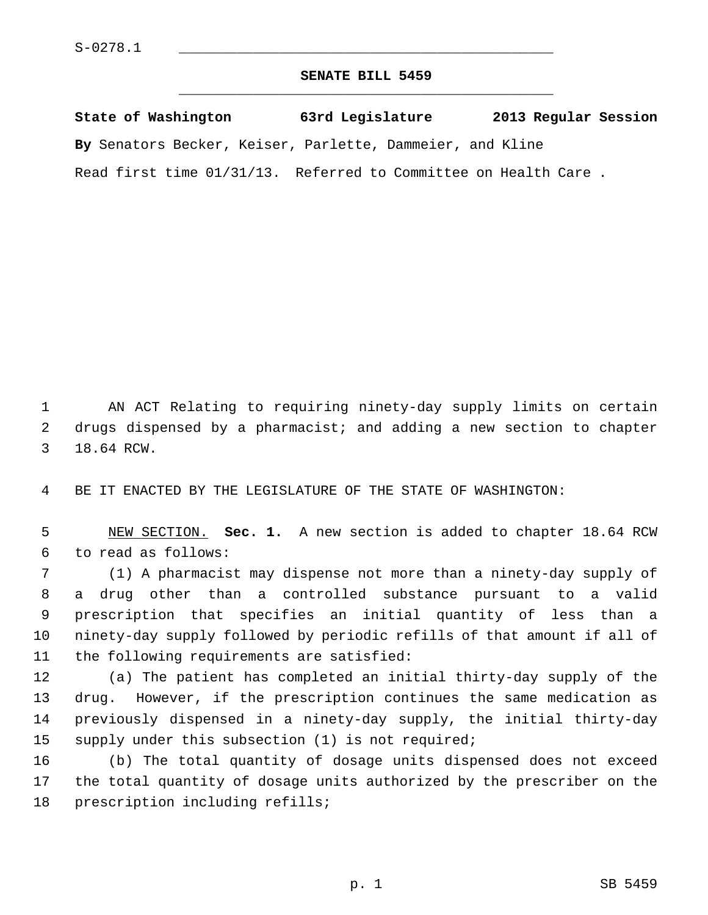## **SENATE BILL 5459** \_\_\_\_\_\_\_\_\_\_\_\_\_\_\_\_\_\_\_\_\_\_\_\_\_\_\_\_\_\_\_\_\_\_\_\_\_\_\_\_\_\_\_\_\_

**State of Washington 63rd Legislature 2013 Regular Session By** Senators Becker, Keiser, Parlette, Dammeier, and Kline Read first time 01/31/13. Referred to Committee on Health Care .

 1 AN ACT Relating to requiring ninety-day supply limits on certain 2 drugs dispensed by a pharmacist; and adding a new section to chapter 3 18.64 RCW.

4 BE IT ENACTED BY THE LEGISLATURE OF THE STATE OF WASHINGTON:

 5 NEW SECTION. **Sec. 1.** A new section is added to chapter 18.64 RCW 6 to read as follows:

 7 (1) A pharmacist may dispense not more than a ninety-day supply of 8 a drug other than a controlled substance pursuant to a valid 9 prescription that specifies an initial quantity of less than a 10 ninety-day supply followed by periodic refills of that amount if all of 11 the following requirements are satisfied:

12 (a) The patient has completed an initial thirty-day supply of the 13 drug. However, if the prescription continues the same medication as 14 previously dispensed in a ninety-day supply, the initial thirty-day 15 supply under this subsection (1) is not required;

16 (b) The total quantity of dosage units dispensed does not exceed 17 the total quantity of dosage units authorized by the prescriber on the 18 prescription including refills;